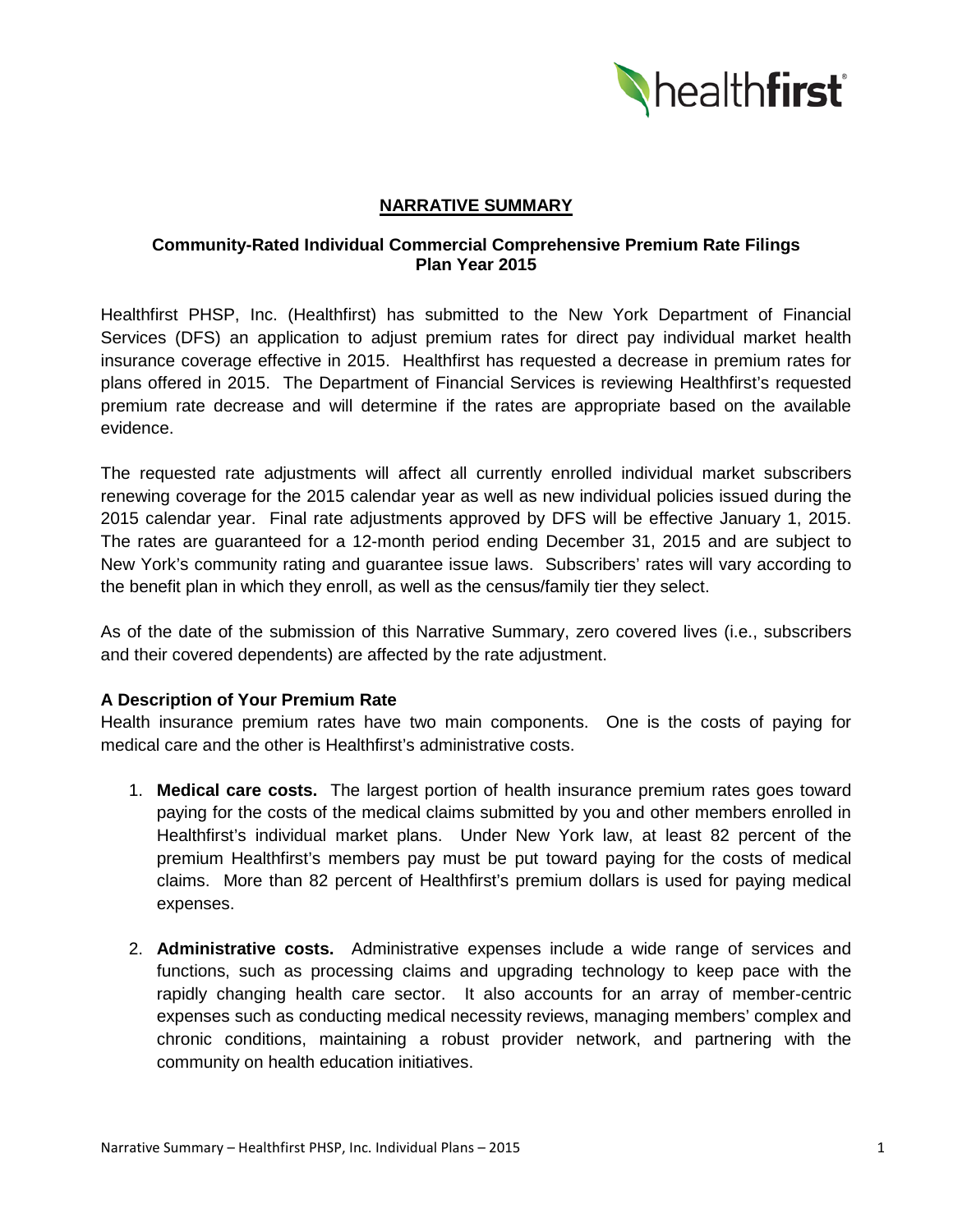

## **NARRATIVE SUMMARY**

## **Community-Rated Individual Commercial Comprehensive Premium Rate Filings Plan Year 2015**

Healthfirst PHSP, Inc. (Healthfirst) has submitted to the New York Department of Financial Services (DFS) an application to adjust premium rates for direct pay individual market health insurance coverage effective in 2015. Healthfirst has requested a decrease in premium rates for plans offered in 2015. The Department of Financial Services is reviewing Healthfirst's requested premium rate decrease and will determine if the rates are appropriate based on the available evidence.

The requested rate adjustments will affect all currently enrolled individual market subscribers renewing coverage for the 2015 calendar year as well as new individual policies issued during the 2015 calendar year. Final rate adjustments approved by DFS will be effective January 1, 2015. The rates are guaranteed for a 12-month period ending December 31, 2015 and are subject to New York's community rating and guarantee issue laws. Subscribers' rates will vary according to the benefit plan in which they enroll, as well as the census/family tier they select.

As of the date of the submission of this Narrative Summary, zero covered lives (i.e., subscribers and their covered dependents) are affected by the rate adjustment.

# **A Description of Your Premium Rate**

Health insurance premium rates have two main components. One is the costs of paying for medical care and the other is Healthfirst's administrative costs.

- 1. **Medical care costs.** The largest portion of health insurance premium rates goes toward paying for the costs of the medical claims submitted by you and other members enrolled in Healthfirst's individual market plans. Under New York law, at least 82 percent of the premium Healthfirst's members pay must be put toward paying for the costs of medical claims. More than 82 percent of Healthfirst's premium dollars is used for paying medical expenses.
- 2. **Administrative costs.** Administrative expenses include a wide range of services and functions, such as processing claims and upgrading technology to keep pace with the rapidly changing health care sector. It also accounts for an array of member-centric expenses such as conducting medical necessity reviews, managing members' complex and chronic conditions, maintaining a robust provider network, and partnering with the community on health education initiatives.